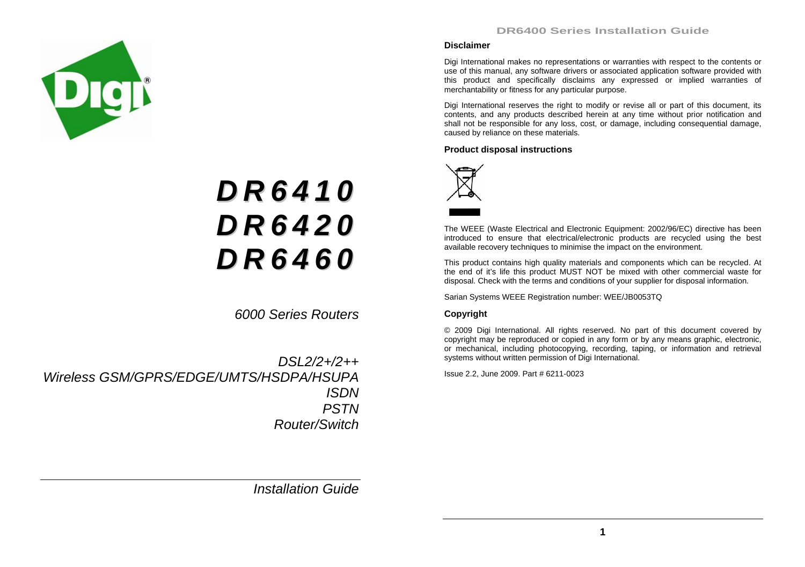



# *D R 6 4 1 0 D R 6 4 2 0 D R 6 4 6 0*

*6000 Series Routers* 

*DSL2/2+/2++ Wireless GSM/GPRS/EDGE/UMTS/HSDPA/HSUPA ISDN PSTN Router/Switch* 

*Installation Guide* 

#### **Disclaimer**

Digi International makes no representations or warranties with respect to the contents or use of this manual, any software drivers or associated application software provided with this product and specifically disclaims any expressed or implied warranties of merchantability or fitness for any particular purpose.

Digi International reserves the right to modify or revise all or part of this document, its contents, and any products described herein at any time without prior notification and shall not be responsible for any loss, cost, or damage, including consequential damage, caused by reliance on these materials.

#### **Product disposal instructions**



The WEEE (Waste Electrical and Electronic Equipment: 2002/96/EC) directive has been introduced to ensure that electrical/electronic products are recycled using the best available recovery techniques to minimise the impact on the environment.

This product contains high quality materials and components which can be recycled. At the end of it's life this product MUST NOT be mixed with other commercial waste for disposal. Check with the terms and conditions of your supplier for disposal information.

Sarian Systems WEEE Registration number: WEE/JB0053TQ

#### **Copyright**

© 2009 Digi International. All rights reserved. No part of this document covered by copyright may be reproduced or copied in any form or by any means graphic, electronic, or mechanical, including photocopying, recording, taping, or information and retrieval systems without written permission of Digi International.

Issue 2.2, June 2009. Part # 6211-0023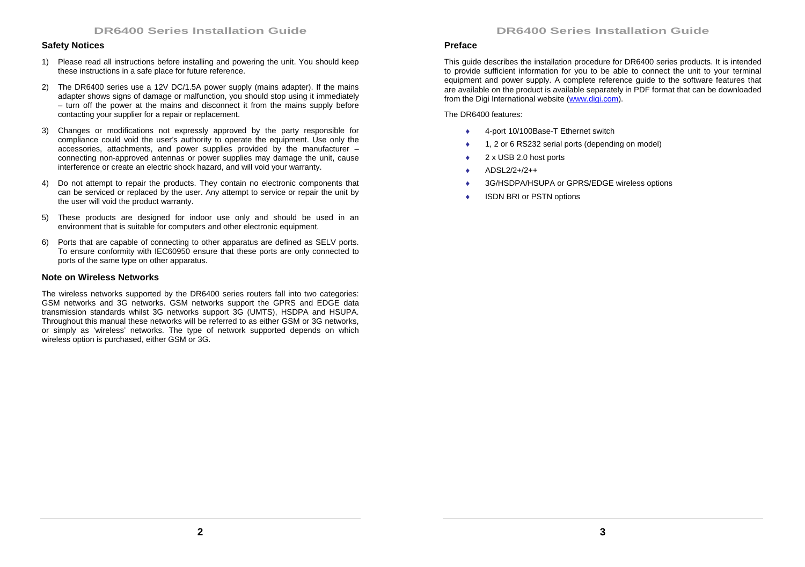#### **Safety Notices**

- 1) Please read all instructions before installing and powering the unit. You should keep these instructions in a safe place for future reference.
- 2) The DR6400 series use a 12V DC/1.5A power supply (mains adapter). If the mains adapter shows signs of damage or malfunction, you should stop using it immediately – turn off the power at the mains and disconnect it from the mains supply before contacting your supplier for a repair or replacement.
- 3) Changes or modifications not expressly approved by the party responsible for compliance could void the user's authority to operate the equipment. Use only the accessories, attachments, and power supplies provided by the manufacturer – connecting non-approved antennas or power supplies may damage the unit, cause interference or create an electric shock hazard, and will void your warranty.
- 4) Do not attempt to repair the products. They contain no electronic components that can be serviced or replaced by the user. Any attempt to service or repair the unit by the user will void the product warranty.
- 5) These products are designed for indoor use only and should be used in an environment that is suitable for computers and other electronic equipment.
- 6) Ports that are capable of connecting to other apparatus are defined as SELV ports. To ensure conformity with IEC60950 ensure that these ports are only connected to ports of the same type on other apparatus.

#### **Note on Wireless Networks**

The wireless networks supported by the DR6400 series routers fall into two categories: GSM networks and 3G networks. GSM networks support the GPRS and EDGE data transmission standards whilst 3G networks support 3G (UMTS), HSDPA and HSUPA. Throughout this manual these networks will be referred to as either GSM or 3G networks, or simply as 'wireless' networks. The type of network supported depends on which wireless option is purchased, either GSM or 3G.

#### **Preface**

This guide describes the installation procedure for DR6400 series products. It is intended to provide sufficient information for you to be able to connect the unit to your terminal equipment and power supply. A complete reference guide to the software features that are available on the product is available separately in PDF format that can be downloaded from the Digi International website (www.digi.com).

The DR6400 features:

- ♦4-port 10/100Base-T Ethernet switch
- ♦1, 2 or 6 RS232 serial ports (depending on model)
- ♦2 x USB 2.0 host ports
- ♦ADSL2/2+/2++
- ♦3G/HSDPA/HSUPA or GPRS/EDGE wireless options
- ♦ISDN BRI or PSTN options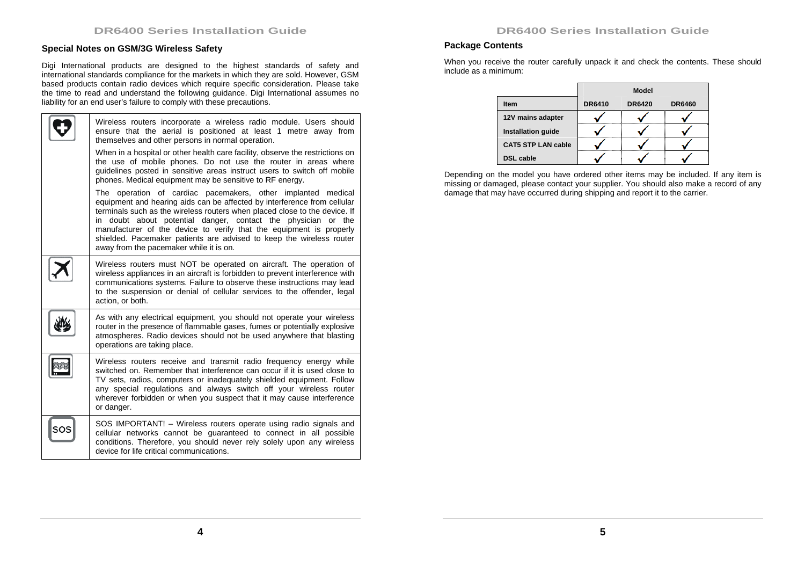# **Special Notes on GSM/3G Wireless Safety**

Digi International products are designed to the highest standards of safety and international standards compliance for the markets in which they are sold. However, GSM based products contain radio devices which require specific consideration. Please take the time to read and understand the following guidance. Digi International assumes no liability for an end user's failure to comply with these precautions.

| Wireless routers incorporate a wireless radio module. Users should<br>ensure that the aerial is positioned at least 1 metre away from<br>themselves and other persons in normal operation.                                                                                                                                                                                                                                                                                        |
|-----------------------------------------------------------------------------------------------------------------------------------------------------------------------------------------------------------------------------------------------------------------------------------------------------------------------------------------------------------------------------------------------------------------------------------------------------------------------------------|
| When in a hospital or other health care facility, observe the restrictions on<br>the use of mobile phones. Do not use the router in areas where<br>quidelines posted in sensitive areas instruct users to switch off mobile<br>phones. Medical equipment may be sensitive to RF energy.                                                                                                                                                                                           |
| The operation of cardiac pacemakers, other implanted medical<br>equipment and hearing aids can be affected by interference from cellular<br>terminals such as the wireless routers when placed close to the device. If<br>in doubt about potential danger, contact the physician or the<br>manufacturer of the device to verify that the equipment is properly<br>shielded. Pacemaker patients are advised to keep the wireless router<br>away from the pacemaker while it is on. |
| Wireless routers must NOT be operated on aircraft. The operation of<br>wireless appliances in an aircraft is forbidden to prevent interference with<br>communications systems. Failure to observe these instructions may lead<br>to the suspension or denial of cellular services to the offender, legal<br>action, or both.                                                                                                                                                      |
| As with any electrical equipment, you should not operate your wireless<br>router in the presence of flammable gases, fumes or potentially explosive<br>atmospheres. Radio devices should not be used anywhere that blasting<br>operations are taking place.                                                                                                                                                                                                                       |
| Wireless routers receive and transmit radio frequency energy while<br>switched on. Remember that interference can occur if it is used close to<br>TV sets, radios, computers or inadequately shielded equipment. Follow<br>any special regulations and always switch off your wireless router<br>wherever forbidden or when you suspect that it may cause interference<br>or danger.                                                                                              |
| SOS IMPORTANT! – Wireless routers operate using radio signals and<br>cellular networks cannot be guaranteed to connect in all possible<br>conditions. Therefore, you should never rely solely upon any wireless<br>device for life critical communications.                                                                                                                                                                                                                       |

# **Package Contents**

When you receive the router carefully unpack it and check the contents. These should include as a minimum:

|                           |               | <b>Model</b>  |               |
|---------------------------|---------------|---------------|---------------|
| Item                      | <b>DR6410</b> | <b>DR6420</b> | <b>DR6460</b> |
| 12V mains adapter         |               |               |               |
| <b>Installation guide</b> |               |               |               |
| <b>CAT5 STP LAN cable</b> |               |               |               |
| <b>DSL</b> cable          |               |               |               |

Depending on the model you have ordered other items may be included. If any item is missing or damaged, please contact your supplier. You should also make a record of any damage that may have occurred during shipping and report it to the carrier.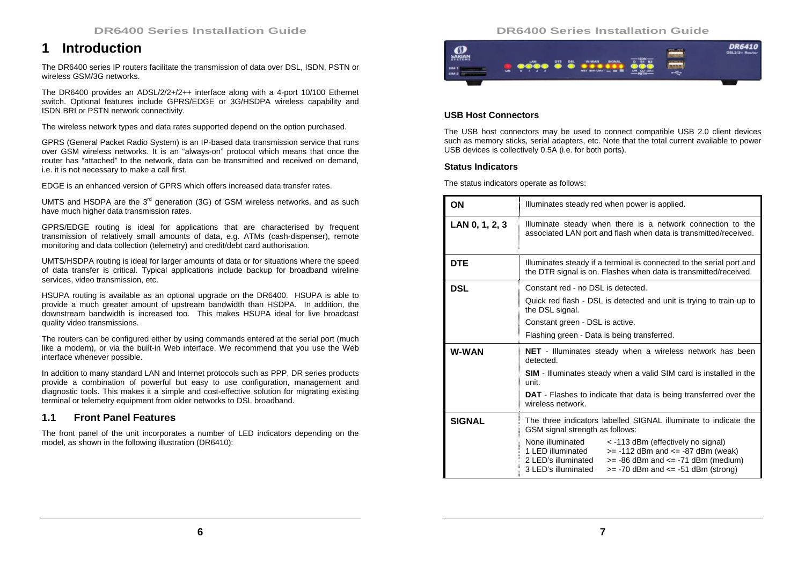# **1 Introduction**

The DR6400 series IP routers facilitate the transmission of data over DSL, ISDN, PSTN or wireless GSM/3G networks.

The DR6400 provides an ADSL/2/2+/2++ interface along with a 4-port 10/100 Ethernet switch. Optional features include GPRS/EDGE or 3G/HSDPA wireless capability and ISDN BRI or PSTN network connectivity.

The wireless network types and data rates supported depend on the option purchased.

GPRS (General Packet Radio System) is an IP-based data transmission service that runs over GSM wireless networks. It is an "always-on" protocol which means that once the router has "attached" to the network, data can be transmitted and received on demand, i.e. it is not necessary to make a call first.

EDGE is an enhanced version of GPRS which offers increased data transfer rates.

UMTS and HSDPA are the  $3<sup>rd</sup>$  generation (3G) of GSM wireless networks, and as such have much higher data transmission rates.

GPRS/EDGE routing is ideal for applications that are characterised by frequent transmission of relatively small amounts of data, e.g. ATMs (cash-dispenser), remote monitoring and data collection (telemetry) and credit/debt card authorisation.

UMTS/HSDPA routing is ideal for larger amounts of data or for situations where the speed of data transfer is critical. Typical applications include backup for broadband wireline services, video transmission, etc.

HSUPA routing is available as an optional upgrade on the DR6400. HSUPA is able to provide a much greater amount of upstream bandwidth than HSDPA. In addition, the downstream bandwidth is increased too. This makes HSUPA ideal for live broadcast quality video transmissions.

The routers can be configured either by using commands entered at the serial port (much like a modem), or via the built-in Web interface. We recommend that you use the Web interface whenever possible.

In addition to many standard LAN and Internet protocols such as PPP, DR series products provide a combination of powerful but easy to use configuration, management and diagnostic tools. This makes it a simple and cost-effective solution for migrating existing terminal or telemetry equipment from older networks to DSL broadband.

# **1.1 Front Panel Features**

The front panel of the unit incorporates a number of LED indicators depending on the model, as shown in the following illustration (DR6410):

# **DR6400 Series Installation Guide**



## **USB Host Connectors**

The USB host connectors may be used to connect compatible USB 2.0 client devices such as memory sticks, serial adapters, etc. Note that the total current available to power USB devices is collectively 0.5A (i.e. for both ports).

#### **Status Indicators**

The status indicators operate as follows:

| ON             | Illuminates steady red when power is applied.                                                                                                                                                                                                          |  |
|----------------|--------------------------------------------------------------------------------------------------------------------------------------------------------------------------------------------------------------------------------------------------------|--|
| LAN 0, 1, 2, 3 | Illuminate steady when there is a network connection to the<br>associated LAN port and flash when data is transmitted/received.                                                                                                                        |  |
| <b>DTE</b>     | Illuminates steady if a terminal is connected to the serial port and<br>the DTR signal is on. Flashes when data is transmitted/received.                                                                                                               |  |
| <b>DSL</b>     | Constant red - no DSL is detected.                                                                                                                                                                                                                     |  |
|                | Quick red flash - DSL is detected and unit is trying to train up to<br>the DSL signal.                                                                                                                                                                 |  |
|                | Constant green - DSL is active.                                                                                                                                                                                                                        |  |
|                | Flashing green - Data is being transferred.                                                                                                                                                                                                            |  |
| <b>W-WAN</b>   | <b>NET</b> - Illuminates steady when a wireless network has been<br>detected.                                                                                                                                                                          |  |
|                | <b>SIM</b> - Illuminates steady when a valid SIM card is installed in the<br>unit.                                                                                                                                                                     |  |
|                | <b>DAT</b> - Flashes to indicate that data is being transferred over the<br>wireless network.                                                                                                                                                          |  |
| <b>SIGNAL</b>  | The three indicators labelled SIGNAL illuminate to indicate the<br>GSM signal strength as follows:                                                                                                                                                     |  |
|                | None illuminated<br>< -113 dBm (effectively no signal)<br>$>= -112$ dBm and $<= -87$ dBm (weak)<br>1 LED illuminated<br>2 LED's illuminated<br>$>= -86$ dBm and $<= -71$ dBm (medium)<br>3 LED's illuminated<br>$>= -70$ dBm and $<= -51$ dBm (strong) |  |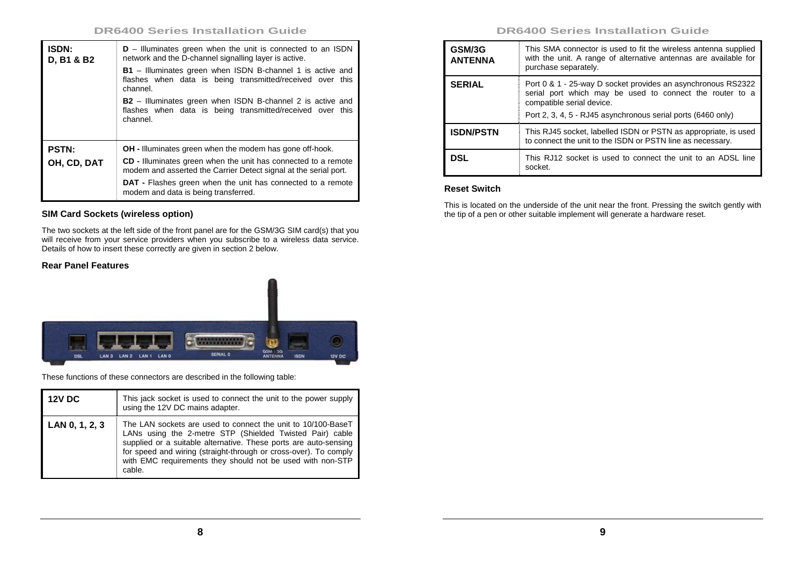| <b>ISDN:</b><br>D, B1 & B2 | $D$ – Illuminates green when the unit is connected to an ISDN<br>network and the D-channel signalling layer is active.                     |
|----------------------------|--------------------------------------------------------------------------------------------------------------------------------------------|
|                            | <b>B1</b> – Illuminates green when ISDN B-channel 1 is active and<br>flashes when data is being transmitted/received over this<br>channel. |
|                            | <b>B2</b> - Illuminates green when ISDN B-channel 2 is active and<br>flashes when data is being transmitted/received over this<br>channel. |
| <b>PSTN:</b>               | <b>OH</b> - Illuminates green when the modem has gone off-hook.                                                                            |
| OH, CD, DAT                | CD - Illuminates green when the unit has connected to a remote<br>modem and asserted the Carrier Detect signal at the serial port.         |
|                            | <b>DAT</b> - Flashes green when the unit has connected to a remote<br>modem and data is being transferred.                                 |

# **SIM Card Sockets (wireless option)**

The two sockets at the left side of the front panel are for the GSM/3G SIM card(s) that you will receive from your service providers when you subscribe to a wireless data service. Details of how to insert these correctly are given in section 2 below.

# **Rear Panel Features**



These functions of these connectors are described in the following table:

| <b>12V DC</b>  | This jack socket is used to connect the unit to the power supply<br>using the 12V DC mains adapter.                                                                                                                                                                                                                                      |
|----------------|------------------------------------------------------------------------------------------------------------------------------------------------------------------------------------------------------------------------------------------------------------------------------------------------------------------------------------------|
| LAN 0, 1, 2, 3 | The LAN sockets are used to connect the unit to 10/100-BaseT<br>LANs using the 2-metre STP (Shielded Twisted Pair) cable<br>supplied or a suitable alternative. These ports are auto-sensing<br>for speed and wiring (straight-through or cross-over). To comply<br>with EMC requirements they should not be used with non-STP<br>cable. |

# **DR6400 Series Installation Guide**

| GSM/3G<br><b>ANTENNA</b> | This SMA connector is used to fit the wireless antenna supplied<br>with the unit. A range of alternative antennas are available for<br>purchase separately.                                                           |
|--------------------------|-----------------------------------------------------------------------------------------------------------------------------------------------------------------------------------------------------------------------|
| <b>SERIAL</b>            | Port 0 & 1 - 25-way D socket provides an asynchronous RS2322<br>serial port which may be used to connect the router to a<br>compatible serial device.<br>Port 2, 3, 4, 5 - RJ45 asynchronous serial ports (6460 only) |
| <b>ISDN/PSTN</b>         | This RJ45 socket, labelled ISDN or PSTN as appropriate, is used<br>to connect the unit to the ISDN or PSTN line as necessary.                                                                                         |
| DSL                      | This RJ12 socket is used to connect the unit to an ADSL line<br>socket.                                                                                                                                               |

# **Reset Switch**

This is located on the underside of the unit near the front. Pressing the switch gently with the tip of a pen or other suitable implement will generate a hardware reset.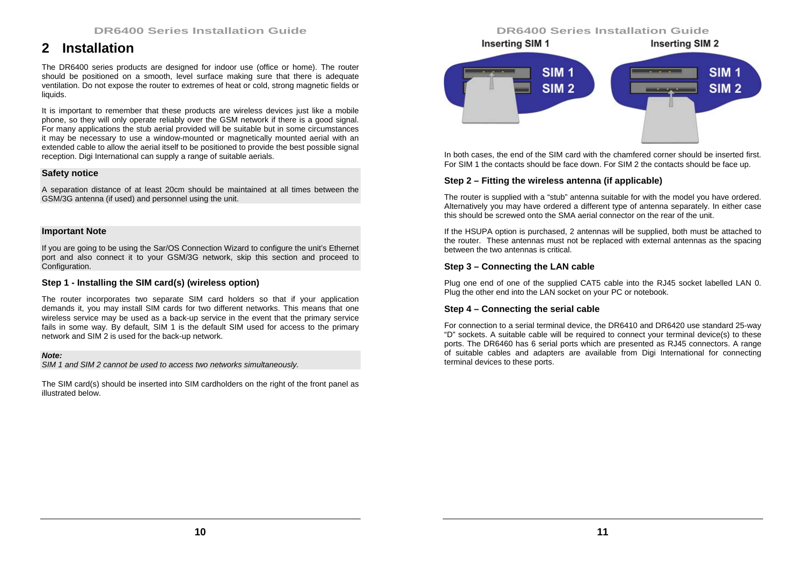# **2 Installation**

The DR6400 series products are designed for indoor use (office or home). The router should be positioned on a smooth, level surface making sure that there is adequate ventilation. Do not expose the router to extremes of heat or cold, strong magnetic fields or liquids.

It is important to remember that these products are wireless devices just like a mobile phone, so they will only operate reliably over the GSM network if there is a good signal. For many applications the stub aerial provided will be suitable but in some circumstances it may be necessary to use a window-mounted or magnetically mounted aerial with an extended cable to allow the aerial itself to be positioned to provide the best possible signal reception. Digi International can supply a range of suitable aerials.

#### **Safety notice**

A separation distance of at least 20cm should be maintained at all times between the GSM/3G antenna (if used) and personnel using the unit.

#### **Important Note**

If you are going to be using the Sar/OS Connection Wizard to configure the unit's Ethernet port and also connect it to your GSM/3G network, skip this section and proceed to Configuration.

# **Step 1 - Installing the SIM card(s) (wireless option)**

The router incorporates two separate SIM card holders so that if your application demands it, you may install SIM cards for two different networks. This means that one wireless service may be used as a back-up service in the event that the primary service fails in some way. By default, SIM 1 is the default SIM used for access to the primary network and SIM 2 is used for the back-up network.

#### *Note:*

*SIM 1 and SIM 2 cannot be used to access two networks simultaneously.* 

The SIM card(s) should be inserted into SIM cardholders on the right of the front panel as illustrated below.

# **DR6400 Series Installation Guide**



In both cases, the end of the SIM card with the chamfered corner should be inserted first. For SIM 1 the contacts should be face down. For SIM 2 the contacts should be face up.

#### **Step 2 – Fitting the wireless antenna (if applicable)**

The router is supplied with a "stub" antenna suitable for with the model you have ordered. Alternatively you may have ordered a different type of antenna separately. In either case this should be screwed onto the SMA aerial connector on the rear of the unit.

If the HSUPA option is purchased, 2 antennas will be supplied, both must be attached to the router. These antennas must not be replaced with external antennas as the spacing between the two antennas is critical.

#### **Step 3 – Connecting the LAN cable**

Plug one end of one of the supplied CAT5 cable into the RJ45 socket labelled LAN 0. Plug the other end into the LAN socket on your PC or notebook.

## **Step 4 – Connecting the serial cable**

For connection to a serial terminal device, the DR6410 and DR6420 use standard 25-way "D" sockets. A suitable cable will be required to connect your terminal device(s) to these ports. The DR6460 has 6 serial ports which are presented as RJ45 connectors. A range of suitable cables and adapters are available from Digi International for connecting terminal devices to these ports.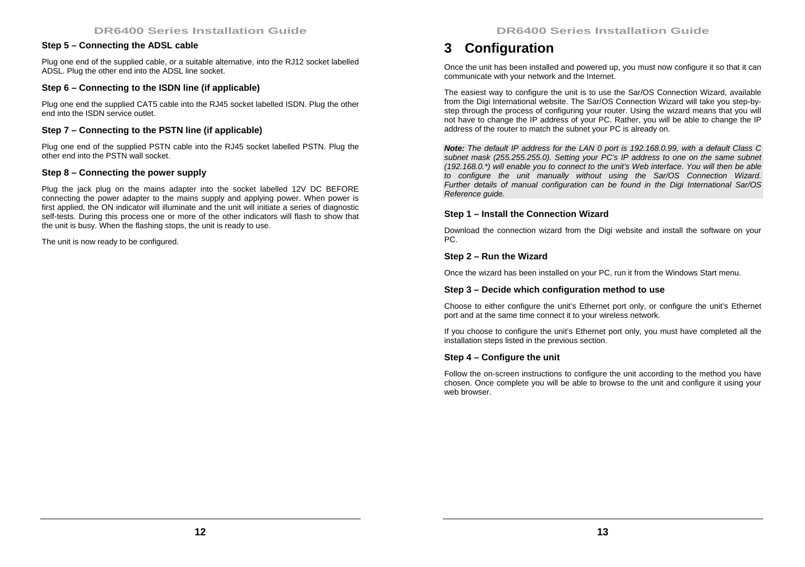# **Step 5 – Connecting the ADSL cable**

Plug one end of the supplied cable, or a suitable alternative, into the RJ12 socket labelled ADSL. Plug the other end into the ADSL line socket.

# **Step 6 – Connecting to the ISDN line (if applicable)**

Plug one end the supplied CAT5 cable into the RJ45 socket labelled ISDN. Plug the other end into the ISDN service outlet.

# **Step 7 – Connecting to the PSTN line (if applicable)**

Plug one end of the supplied PSTN cable into the RJ45 socket labelled PSTN. Plug the other end into the PSTN wall socket.

## **Step 8 – Connecting the power supply**

Plug the jack plug on the mains adapter into the socket labelled 12V DC BEFORE connecting the power adapter to the mains supply and applying power. When power is first applied, the ON indicator will illuminate and the unit will initiate a series of diagnostic self-tests. During this process one or more of the other indicators will flash to show that the unit is busy. When the flashing stops, the unit is ready to use.

The unit is now ready to be configured.

# **3 Configuration**

Once the unit has been installed and powered up, you must now configure it so that it can communicate with your network and the Internet.

The easiest way to configure the unit is to use the Sar/OS Connection Wizard, available from the Digi International website. The Sar/OS Connection Wizard will take you step-bystep through the process of configuring your router. Using the wizard means that you will not have to change the IP address of your PC. Rather, you will be able to change the IP address of the router to match the subnet your PC is already on.

*Note: The default IP address for the LAN 0 port is 192.168.0.99, with a default Class C subnet mask (255.255.255.0). Setting your PC's IP address to one on the same subnet (192.168.0.\*) will enable you to connect to the unit's Web interface. You will then be able to configure the unit manually without using the Sar/OS Connection Wizard. Further details of manual configuration can be found in the Digi International Sar/OS Reference guide.* 

## **Step 1 – Install the Connection Wizard**

Download the connection wizard from the Digi website and install the software on your PC.

#### **Step 2 – Run the Wizard**

Once the wizard has been installed on your PC, run it from the Windows Start menu.

#### **Step 3 – Decide which configuration method to use**

Choose to either configure the unit's Ethernet port only, or configure the unit's Ethernet port and at the same time connect it to your wireless network.

If you choose to configure the unit's Ethernet port only, you must have completed all the installation steps listed in the previous section.

#### **Step 4 – Configure the unit**

Follow the on-screen instructions to configure the unit according to the method you have chosen. Once complete you will be able to browse to the unit and configure it using your web browser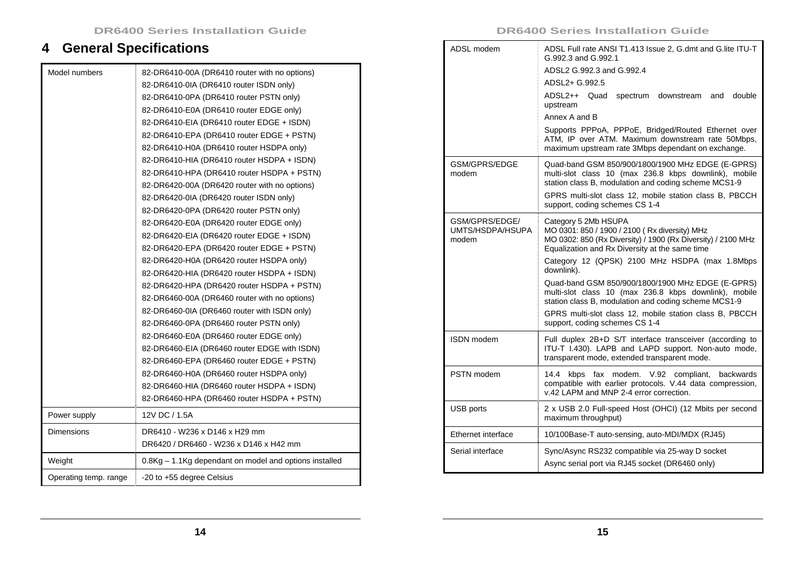# **4 General Specifications**

| Model numbers         | 82-DR6410-00A (DR6410 router with no options)          |
|-----------------------|--------------------------------------------------------|
|                       | 82-DR6410-0IA (DR6410 router ISDN only)                |
|                       | 82-DR6410-0PA (DR6410 router PSTN only)                |
|                       | 82-DR6410-E0A (DR6410 router EDGE only)                |
|                       | 82-DR6410-EIA (DR6410 router EDGE + ISDN)              |
|                       | 82-DR6410-EPA (DR6410 router EDGE + PSTN)              |
|                       | 82-DR6410-H0A (DR6410 router HSDPA only)               |
|                       | 82-DR6410-HIA (DR6410 router HSDPA + ISDN)             |
|                       | 82-DR6410-HPA (DR6410 router HSDPA + PSTN)             |
|                       | 82-DR6420-00A (DR6420 router with no options)          |
|                       | 82-DR6420-0IA (DR6420 router ISDN only)                |
|                       | 82-DR6420-0PA (DR6420 router PSTN only)                |
|                       | 82-DR6420-E0A (DR6420 router EDGE only)                |
|                       | 82-DR6420-EIA (DR6420 router EDGE + ISDN)              |
|                       | 82-DR6420-EPA (DR6420 router EDGE + PSTN)              |
|                       | 82-DR6420-H0A (DR6420 router HSDPA only)               |
|                       | 82-DR6420-HIA (DR6420 router HSDPA + ISDN)             |
|                       | 82-DR6420-HPA (DR6420 router HSDPA + PSTN)             |
|                       | 82-DR6460-00A (DR6460 router with no options)          |
|                       | 82-DR6460-0IA (DR6460 router with ISDN only)           |
|                       | 82-DR6460-0PA (DR6460 router PSTN only)                |
|                       | 82-DR6460-E0A (DR6460 router EDGE only)                |
|                       | 82-DR6460-EIA (DR6460 router EDGE with ISDN)           |
|                       | 82-DR6460-EPA (DR6460 router EDGE + PSTN)              |
|                       | 82-DR6460-H0A (DR6460 router HSDPA only)               |
|                       | 82-DR6460-HIA (DR6460 router HSDPA + ISDN)             |
|                       | 82-DR6460-HPA (DR6460 router HSDPA + PSTN)             |
| Power supply          | 12V DC / 1.5A                                          |
| Dimensions            | DR6410 - W236 x D146 x H29 mm                          |
|                       | DR6420 / DR6460 - W236 x D146 x H42 mm                 |
| Weight                | 0.8Kg – 1.1Kg dependant on model and options installed |
| Operating temp. range | -20 to +55 degree Celsius                              |

#### **DR6400 Series Installation Guide**

| ADSL modem                                  | ADSL Full rate ANSI T1.413 Issue 2, G.dmt and G.lite ITU-T<br>G.992.3 and G.992.1                                                                                                                                                                               |
|---------------------------------------------|-----------------------------------------------------------------------------------------------------------------------------------------------------------------------------------------------------------------------------------------------------------------|
|                                             | ADSL2 G.992.3 and G.992.4                                                                                                                                                                                                                                       |
|                                             | ADSL2+ G.992.5                                                                                                                                                                                                                                                  |
|                                             | ADSL2++ Quad<br>double<br>spectrum<br>downstream<br>and<br>upstream                                                                                                                                                                                             |
|                                             | Annex A and B                                                                                                                                                                                                                                                   |
|                                             | Supports PPPoA, PPPoE, Bridged/Routed Ethernet over<br>ATM, IP over ATM. Maximum downstream rate 50Mbps,<br>maximum upstream rate 3Mbps dependant on exchange.                                                                                                  |
| GSM/GPRS/EDGE<br>modem                      | Quad-band GSM 850/900/1800/1900 MHz EDGE (E-GPRS)<br>multi-slot class 10 (max 236.8 kbps downlink), mobile<br>station class B, modulation and coding scheme MCS1-9<br>GPRS multi-slot class 12, mobile station class B, PBCCH<br>support, coding schemes CS 1-4 |
|                                             |                                                                                                                                                                                                                                                                 |
| GSM/GPRS/EDGE/<br>UMTS/HSDPA/HSUPA<br>modem | Category 5 2Mb HSUPA<br>MO 0301: 850 / 1900 / 2100 (Rx diversity) MHz<br>MO 0302: 850 (Rx Diversity) / 1900 (Rx Diversity) / 2100 MHz<br>Equalization and Rx Diversity at the same time<br>Category 12 (QPSK) 2100 MHz HSDPA (max 1.8Mbps<br>downlink).         |
|                                             | Quad-band GSM 850/900/1800/1900 MHz EDGE (E-GPRS)<br>multi-slot class 10 (max 236.8 kbps downlink), mobile<br>station class B, modulation and coding scheme MCS1-9<br>GPRS multi-slot class 12, mobile station class B, PBCCH<br>support, coding schemes CS 1-4 |
| ISDN modem                                  | Full duplex 2B+D S/T interface transceiver (according to<br>ITU-T I.430). LAPB and LAPD support. Non-auto mode,<br>transparent mode, extended transparent mode.                                                                                                 |
| PSTN modem                                  | 14.4<br>kbps<br>fax modem.<br>V.92<br>compliant,<br>backwards<br>compatible with earlier protocols. V.44 data compression,<br>v.42 LAPM and MNP 2-4 error correction.                                                                                           |
| USB ports                                   | 2 x USB 2.0 Full-speed Host (OHCI) (12 Mbits per second<br>maximum throughput)                                                                                                                                                                                  |
| Ethernet interface                          | 10/100Base-T auto-sensing, auto-MDI/MDX (RJ45)                                                                                                                                                                                                                  |
| Serial interface                            | Sync/Async RS232 compatible via 25-way D socket<br>Async serial port via RJ45 socket (DR6460 only)                                                                                                                                                              |